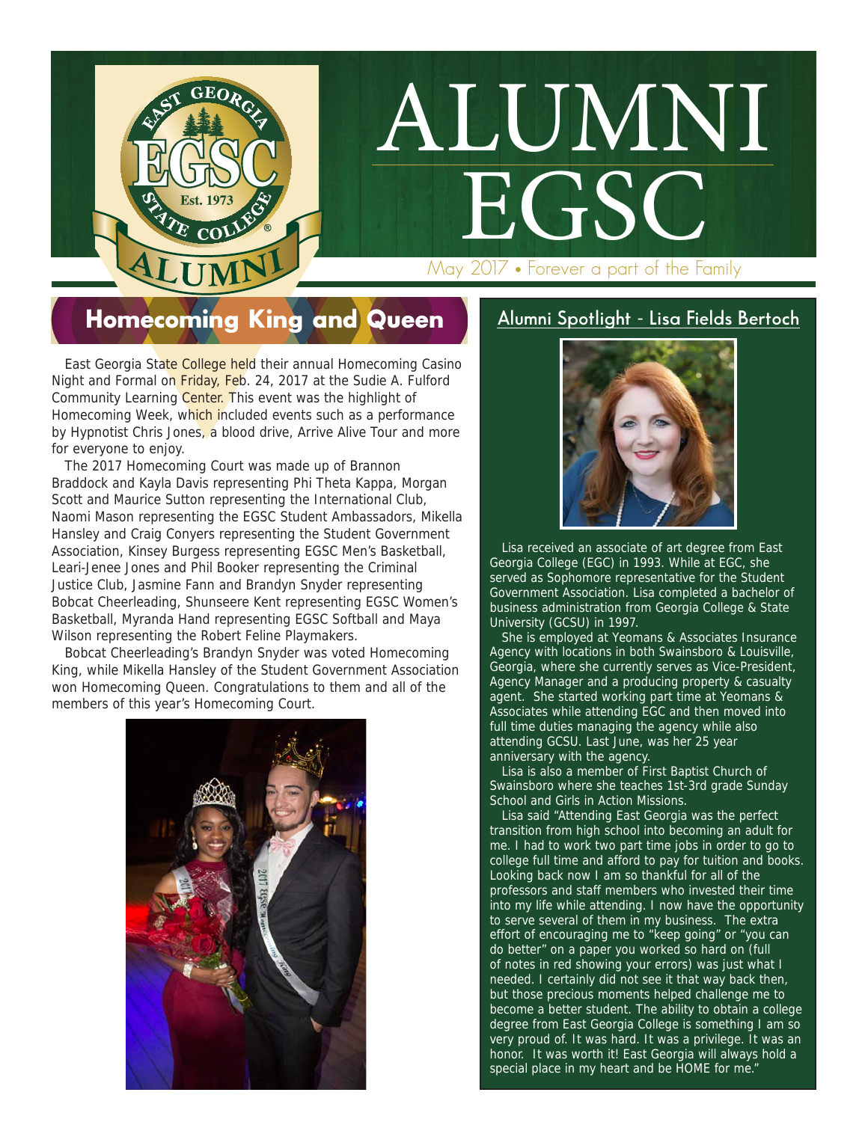May 2017 • Forever a part of the Family

ALUMNI

**EGSC** 

#### Homecoming King and Queen

 $\mathbf{G}\mathbf{E}\mathbf{O}\mathbf{D}$ 

**EXAMPLE COLLEGE IN THE COLLEGE IN THE COLLEGE IN THE COLLEGE IN THE COLLEGE IN THE COLLEGE IN THE COLLEGE IN THE COLLEGE IN THE COLLEGE IN THE COLLEGE IN THE COLLEGE IN THE COLLEGE IN THE COLLEGE IN THE COLLEGE IN THE COL**  East Georgia State College held their annual Homecoming Casino Night and Formal on Friday, Feb. 24, 2017 at the Sudie A. Fulford Community Learning Center. This event was the highlight of Homecoming Week, which included events such as a performance by Hypnotist Chris Jones, a blood drive, Arrive Alive Tour and more for everyone to enjoy.

 The 2017 Homecoming Court was made up of Brannon Braddock and Kayla Davis representing Phi Theta Kappa, Morgan Scott and Maurice Sutton representing the International Club, Naomi Mason representing the EGSC Student Ambassadors, Mikella Hansley and Craig Conyers representing the Student Government Association, Kinsey Burgess representing EGSC Men's Basketball, Leari-Jenee Jones and Phil Booker representing the Criminal Justice Club, Jasmine Fann and Brandyn Snyder representing Bobcat Cheerleading, Shunseere Kent representing EGSC Women's Basketball, Myranda Hand representing EGSC Softball and Maya Wilson representing the Robert Feline Playmakers.

 Bobcat Cheerleading's Brandyn Snyder was voted Homecoming King, while Mikella Hansley of the Student Government Association won Homecoming Queen. Congratulations to them and all of the members of this year's Homecoming Court.



#### **Alumni Spotlight - Lisa Fields Bertoch**



 Lisa received an associate of art degree from East Georgia College (EGC) in 1993. While at EGC, she served as Sophomore representative for the Student Government Association. Lisa completed a bachelor of business administration from Georgia College & State University (GCSU) in 1997.

 She is employed at Yeomans & Associates Insurance Agency with locations in both Swainsboro & Louisville, Georgia, where she currently serves as Vice-President, Agency Manager and a producing property & casualty agent. She started working part time at Yeomans & Associates while attending EGC and then moved into full time duties managing the agency while also attending GCSU. Last June, was her 25 year anniversary with the agency.

 Lisa is also a member of First Baptist Church of Swainsboro where she teaches 1st-3rd grade Sunday School and Girls in Action Missions.

 Lisa said "Attending East Georgia was the perfect transition from high school into becoming an adult for me. I had to work two part time jobs in order to go to college full time and afford to pay for tuition and books. Looking back now I am so thankful for all of the professors and staff members who invested their time into my life while attending. I now have the opportunity to serve several of them in my business. The extra effort of encouraging me to "keep going" or "you can do better" on a paper you worked so hard on (full of notes in red showing your errors) was just what I needed. I certainly did not see it that way back then, but those precious moments helped challenge me to become a better student. The ability to obtain a college degree from East Georgia College is something I am so very proud of. It was hard. It was a privilege. It was an honor. It was worth it! East Georgia will always hold a special place in my heart and be HOME for me."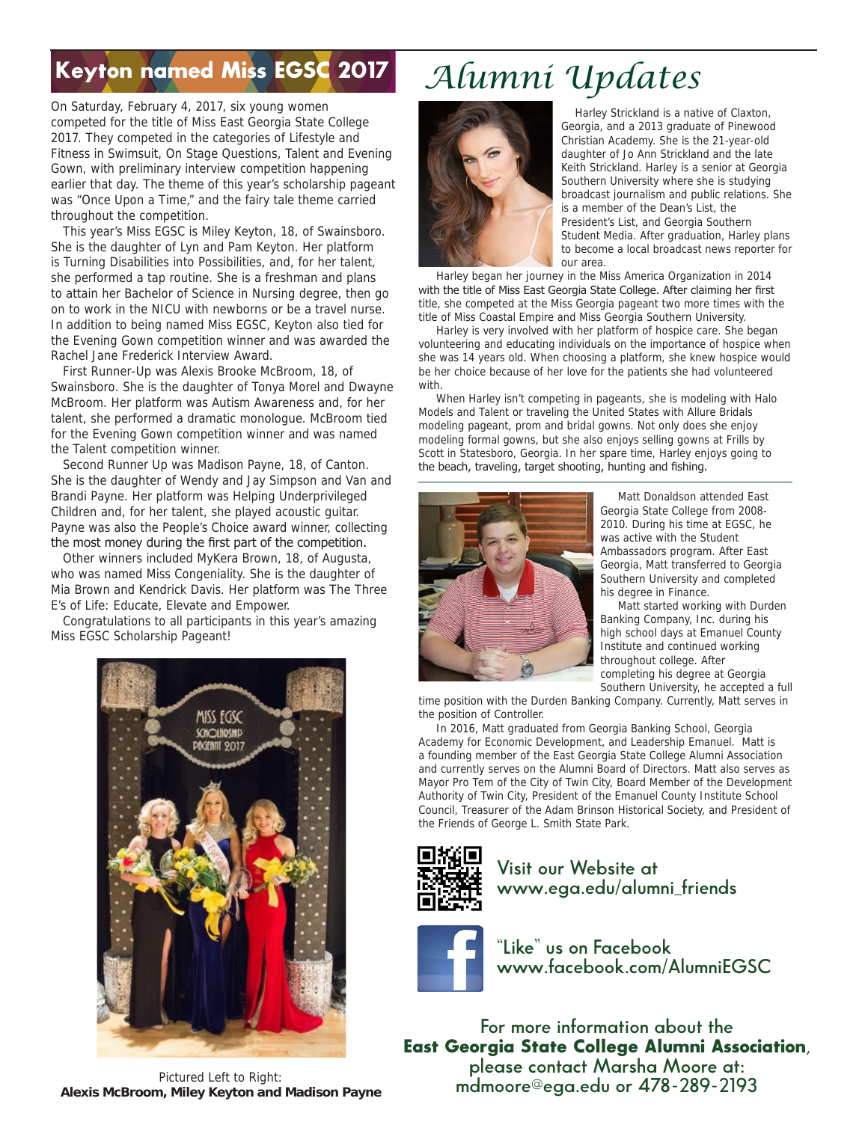### Keyton named Miss EGSC 2017

On Saturday, February 4, 2017, six young women competed for the title of Miss East Georgia State College 2017. They competed in the categories of Lifestyle and Fitness in Swimsuit, On Stage Questions, Talent and Evening Gown, with preliminary interview competition happening earlier that day. The theme of this year's scholarship pageant was "Once Upon a Time," and the fairy tale theme carried throughout the competition.

 This year's Miss EGSC is Miley Keyton, 18, of Swainsboro. She is the daughter of Lyn and Pam Keyton. Her platform is Turning Disabilities into Possibilities, and, for her talent, she performed a tap routine. She is a freshman and plans to attain her Bachelor of Science in Nursing degree, then go on to work in the NICU with newborns or be a travel nurse. In addition to being named Miss EGSC, Keyton also tied for the Evening Gown competition winner and was awarded the Rachel Jane Frederick Interview Award.

 First Runner-Up was Alexis Brooke McBroom, 18, of Swainsboro. She is the daughter of Tonya Morel and Dwayne McBroom. Her platform was Autism Awareness and, for her talent, she performed a dramatic monologue. McBroom tied for the Evening Gown competition winner and was named the Talent competition winner.

 Second Runner Up was Madison Payne, 18, of Canton. She is the daughter of Wendy and Jay Simpson and Van and Brandi Payne. Her platform was Helping Underprivileged Children and, for her talent, she played acoustic guitar. Payne was also the People's Choice award winner, collecting the most money during the first part of the competition.

 Other winners included MyKera Brown, 18, of Augusta, who was named Miss Congeniality. She is the daughter of Mia Brown and Kendrick Davis. Her platform was The Three E's of Life: Educate, Elevate and Empower.

 Congratulations to all participants in this year's amazing Miss EGSC Scholarship Pageant!



## *Alumni Updates*



Harley Strickland is a native of Claxton, Georgia, and a 2013 graduate of Pinewood Christian Academy. She is the 21-year-old daughter of Jo Ann Strickland and the late Keith Strickland. Harley is a senior at Georgia Southern University where she is studying broadcast journalism and public relations. She is a member of the Dean's List, the President's List, and Georgia Southern Student Media. After graduation, Harley plans to become a local broadcast news reporter for our area.

 Harley began her journey in the Miss America Organization in 2014 with the title of Miss East Georgia State College. After claiming her first title, she competed at the Miss Georgia pageant two more times with the title of Miss Coastal Empire and Miss Georgia Southern University.

 Harley is very involved with her platform of hospice care. She began volunteering and educating individuals on the importance of hospice when she was 14 years old. When choosing a platform, she knew hospice would be her choice because of her love for the patients she had volunteered with.

 When Harley isn't competing in pageants, she is modeling with Halo Models and Talent or traveling the United States with Allure Bridals modeling pageant, prom and bridal gowns. Not only does she enjoy modeling formal gowns, but she also enjoys selling gowns at Frills by Scott in Statesboro, Georgia. In her spare time, Harley enjoys going to the beach, traveling, target shooting, hunting and fishing.



 Matt Donaldson attended East Georgia State College from 2008- 2010. During his time at EGSC, he was active with the Student Ambassadors program. After East Georgia, Matt transferred to Georgia Southern University and completed his degree in Finance.

 Matt started working with Durden Banking Company, Inc. during his high school days at Emanuel County Institute and continued working throughout college. After completing his degree at Georgia Southern University, he accepted a full

time position with the Durden Banking Company. Currently, Matt serves in the position of Controller.

 In 2016, Matt graduated from Georgia Banking School, Georgia Academy for Economic Development, and Leadership Emanuel. Matt is a founding member of the East Georgia State College Alumni Association and currently serves on the Alumni Board of Directors. Matt also serves as Mayor Pro Tem of the City of Twin City, Board Member of the Development Authority of Twin City, President of the Emanuel County Institute School Council, Treasurer of the Adam Brinson Historical Society, and President of the Friends of George L. Smith State Park.



 **Visit our Website at www.ega.edu/alumni\_friends**

 **"Like" us on Facebook www.facebook.com/AlumniEGSC**

**For more information about the** East Georgia State College Alumni Association**, please contact Marsha Moore at: mdmoore@ega.edu or 478-289-2193**

Pictured Left to Right: **Alexis McBroom, Miley Keyton and Madison Payne**